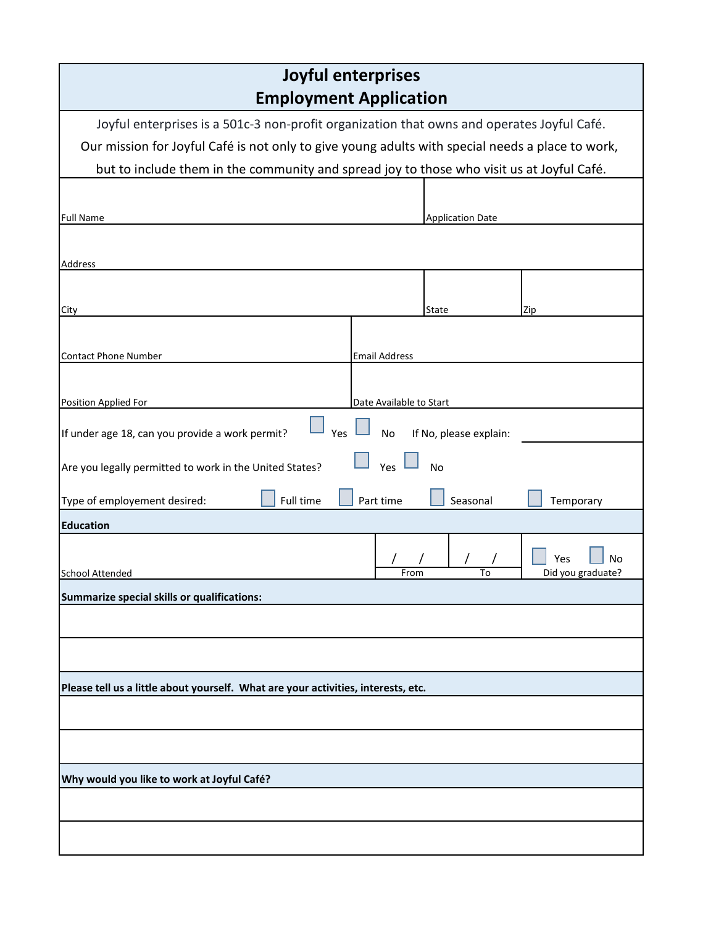| Joyful enterprises                                                                               |                         |                         |                                |  |  |  |
|--------------------------------------------------------------------------------------------------|-------------------------|-------------------------|--------------------------------|--|--|--|
| <b>Employment Application</b>                                                                    |                         |                         |                                |  |  |  |
| Joyful enterprises is a 501c-3 non-profit organization that owns and operates Joyful Café.       |                         |                         |                                |  |  |  |
| Our mission for Joyful Café is not only to give young adults with special needs a place to work, |                         |                         |                                |  |  |  |
| but to include them in the community and spread joy to those who visit us at Joyful Café.        |                         |                         |                                |  |  |  |
|                                                                                                  |                         |                         |                                |  |  |  |
| <b>Full Name</b>                                                                                 |                         | <b>Application Date</b> |                                |  |  |  |
|                                                                                                  |                         |                         |                                |  |  |  |
| Address                                                                                          |                         |                         |                                |  |  |  |
|                                                                                                  |                         |                         |                                |  |  |  |
| City                                                                                             |                         | State                   | Zip                            |  |  |  |
|                                                                                                  |                         |                         |                                |  |  |  |
| <b>Contact Phone Number</b>                                                                      | <b>Email Address</b>    |                         |                                |  |  |  |
|                                                                                                  |                         |                         |                                |  |  |  |
| Position Applied For                                                                             | Date Available to Start |                         |                                |  |  |  |
|                                                                                                  |                         |                         |                                |  |  |  |
| If under age 18, can you provide a work permit?<br>Yes                                           | <b>No</b>               | If No, please explain:  |                                |  |  |  |
| Yes<br>Are you legally permitted to work in the United States?<br>No                             |                         |                         |                                |  |  |  |
| Type of employement desired:<br>Full time<br>Seasonal<br>Part time<br>Temporary                  |                         |                         |                                |  |  |  |
| <b>Education</b>                                                                                 |                         |                         |                                |  |  |  |
| <b>School Attended</b>                                                                           | From                    | To                      | Yes<br>No<br>Did you graduate? |  |  |  |
| Summarize special skills or qualifications:                                                      |                         |                         |                                |  |  |  |
|                                                                                                  |                         |                         |                                |  |  |  |
|                                                                                                  |                         |                         |                                |  |  |  |
|                                                                                                  |                         |                         |                                |  |  |  |
| Please tell us a little about yourself. What are your activities, interests, etc.                |                         |                         |                                |  |  |  |
|                                                                                                  |                         |                         |                                |  |  |  |
|                                                                                                  |                         |                         |                                |  |  |  |
|                                                                                                  |                         |                         |                                |  |  |  |
| Why would you like to work at Joyful Café?                                                       |                         |                         |                                |  |  |  |
|                                                                                                  |                         |                         |                                |  |  |  |
|                                                                                                  |                         |                         |                                |  |  |  |
|                                                                                                  |                         |                         |                                |  |  |  |